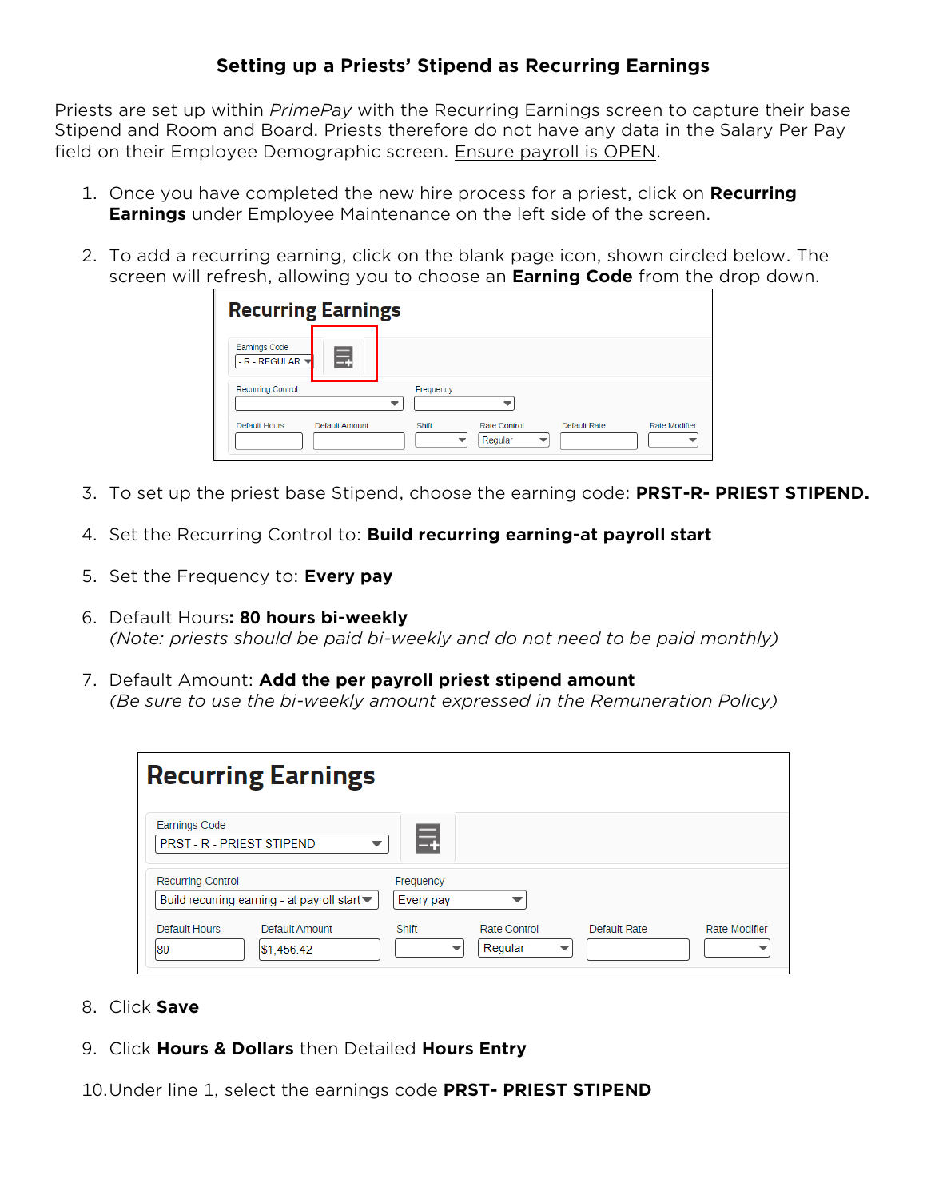## **Setting up a Priests' Stipend as Recurring Earnings**

Priests are set up within *PrimePay* with the Recurring Earnings screen to capture their base Stipend and Room and Board. Priests therefore do not have any data in the Salary Per Pay field on their Employee Demographic screen. Ensure payroll is OPEN.

- 1. Once you have completed the new hire process for a priest, click on **Recurring Earnings** under Employee Maintenance on the left side of the screen.
- 2. To add a recurring earning, click on the blank page icon, shown circled below. The screen will refresh, allowing you to choose an **Earning Code** from the drop down.

| <b>Recurring Earnings</b>                  |                                                                          |
|--------------------------------------------|--------------------------------------------------------------------------|
| <b>Earnings Code</b><br>畐<br>- R - REGULAR |                                                                          |
| <b>Recurring Control</b>                   | Frequency                                                                |
| <b>Default Hours</b><br>Default Amount     | Rate Control<br>Default Rate<br><b>Rate Modifier</b><br>Shift<br>Regular |

- 3. To set up the priest base Stipend, choose the earning code: **PRST-R- PRIEST STIPEND.**
- 4. Set the Recurring Control to: **Build recurring earning-at payroll start**
- 5. Set the Frequency to: **Every pay**
- 6. Default Hours**: 80 hours bi-weekly**  *(Note: priests should be paid bi-weekly and do not need to be paid monthly)*
- 7. Default Amount: **Add the per payroll priest stipend amount** *(Be sure to use the bi-weekly amount expressed in the Remuneration Policy)*

| <b>Recurring Earnings</b>                                       |           |                         |              |                      |
|-----------------------------------------------------------------|-----------|-------------------------|--------------|----------------------|
| <b>Earnings Code</b><br>PRST - R - PRIEST STIPEND               |           |                         |              |                      |
| <b>Recurring Control</b>                                        | Frequency |                         |              |                      |
| Build recurring earning - at payroll start $\blacktriangledown$ | Every pay |                         |              |                      |
| Default Hours<br>Default Amount<br>\$1,456.42<br>180            | Shift     | Rate Control<br>Regular | Default Rate | <b>Rate Modifier</b> |

- 8. Click **Save**
- 9. Click **Hours & Dollars** then Detailed **Hours Entry**

10.Under line 1, select the earnings code **PRST- PRIEST STIPEND**